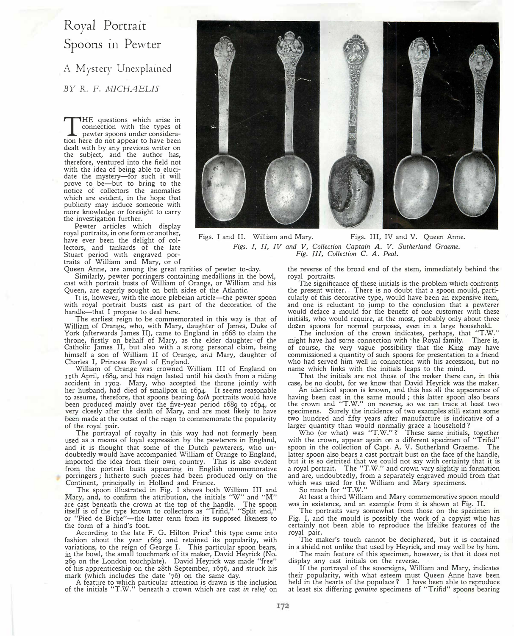## Royal Portrait Spoons in Pewter

A Mystery Unexplained *BY* R. F. *MICHAELIS* 

THE questions which arise in<br>connection with the types of<br>pewter spoons under considera-<br>tion here do not appear to have been HE questions which arise in connection with the types of pewter spoons under consideradealt with by any previous writer on the subject, and the author has, therefore, ventured into the field not with the idea of being able to elucidate the mystery-for such it will prove to be-but to bring to the notice of collectors the anomalies which are evident, in the hope that publicity may induce someone with more knowledge or foresight to carry the investigation further.

Pewter articles which display royal portraits, in one form or another, have ever been the delight of collectors, and tankards of the late Stuart period with engraved portraits of William and Mary, or of

Queen Anne, are among the great rarities of pewter to-day. Similarly, pewter porringers containing medallions in the bowl, cast with portrait busts of William of Orange, or William and his Queen, are eagerly sought on both sides of the Atlantic.

It is, however, with the more plebeian article—the pewter spoon with royal portrait busts cast as part of the decoration of the handle-that I propose to deal here.

The earliest reign to be commemorated in this way is that of William of Orange, who, with Mary, daughter of James, Duke of York (afterwards James II), came to England in 1668 to claim the throne, firstly on behalf of Mary, as the elder daughter of the Catholic James II, but also with a s�rong personal claim, being himself a son of William II of Orange, and Mary, daughter of Charles I, Princess Royal of England.

William of Orange was crowned William III of England on nth April, 1689, and his reign lasted until his death from a riding accident in 1702. Mary, who accepted the throne jointly with her husband, had died of smallpox in 1694. It seems reasonable to assume, therefore, that spoons bearing *both* portraits would have been produced mainly over the five-year period 1689 to 1694, or very closely after the death of Mary, and are most likely to have been made at the outset of the reign to commemorate the popularity of the royal pair.

The portrayal of royalty in this way had not formerly been used as a means of loyal expression by the pewterers in England, and it is thought that some of the Dutch pewterers, who undoubtedly would have accompanied William of Orange to England, imported the idea from their own country. This is also evident from the portrait busts appearing in English commemorative porringers; hitherto such pieces had been produced only on the Continent, principally in Holland and France.

The spoon illustrated in Fig. I shows both William III and Mary, and, to confirm the attribution, the initials "W" and "M" are cast beneath the crown at the top of the handle. The spoon itself is of the type known to collectors as "Trifid," "Split end," or "Pied de Biche"-the latter term from its supposed likeness to the form of a hind's foot.

According to the late F. G. Hilton Price<sup>1</sup> this type came into fashion about the year 1663 and retained its popularity, with variations, to the reign of George I. This particular spoon bears, in the bowl, the small touchmark of its maker, David Heyrick (No. 269 on the London touchplate). David Heyrick was made "free"

of his apprenticeship on the 28th September, 1676, and struck his mark (which includes the date '76) on the same day.<br>A feature to which particular attention is drawn is the inclusion<br>of the initials "T.W." beneath a crow



Figs. I and II. William and Mary. Figs. III, IV and V. Queen Anne. *Figs. I, II, IV and V, Collection Captain A. V. Sutherland Graeme. Fig. Ill, Collection* C. *A. Peal.* 

> the reverse of the broad end of the stem, immediately behind the royal portraits.

> The significance of these initials is the problem which confronts the present writer. There is no doubt that a spoon mould, particularly of this decorative type, would have been an expensive item, and one is reluctant to jump to the conclusion that a pewterer would deface a mould for the benefit of one customer with these initials, who would require, at the most, probably only about three dozen spoons for normal purposes, even in a large household.

> The inclusion of the crown indicates, perhaps, that "T.W." might have had some connection with the Royal family. There is, of course, the very vague possibility that the King may have commissioned a quantity of such spoons for presentation to a friend who had served him well in connection with his accession, but no name which links with the initials leaps to the mind.

> That the initials are not those of the maker there can, in this case, be no doubt, for we know that David Heyrick was the maker.

An identical spoon is known, and this has all the appearance of having been cast in the same mould ; this latter spoon also bears the crown and "T.W." on reverse, so we can trace at least two specimens. Surely the incidence of two examples still extant some two hundred and fifty years after manufacture is indicative of a larger quantity than would normally grace a household ?

Who (or what) was "T.W."? These same initials, together with the crown, appear again on a different specimen of "Trifid" spoon in the collection of Capt. A. V. Sutherland Graeme. The latter spoon also bears a cast portrait bust on the face of the handle, but it is so detrited that we could not say with certainty that it is a royal portrait. The "T.W." and crown vary slightly in formation and are, undoubtedly, from a separately engraved mould from that which was used for the William and Mary specimens.

So much for "T.W."

At least a third William and Mary commemorative spoon mould was in existence, and an example from it is shown at Fig. II.

The portraits vary somewhat from those on the specimen in Fig. I, and the mould is possibly the work of a copyist who has certainly not been able to reproduce the lifelike features of the royal pair.

The maker's touch cannot be deciphered, but it is contained in a shield not unlike that used by Heyrick, and may well be by him.

The main feature of this specimen, however, is that it does not display any cast initials on the reverse.

If the portrayal of the sovereigns, William and Mary, indicates their popularity, with what esteem must Queen Anne have been held in the hearts of the populace? I have been able to reproduce at least six differing *genuine* specimens of "Trifid" spoons bearing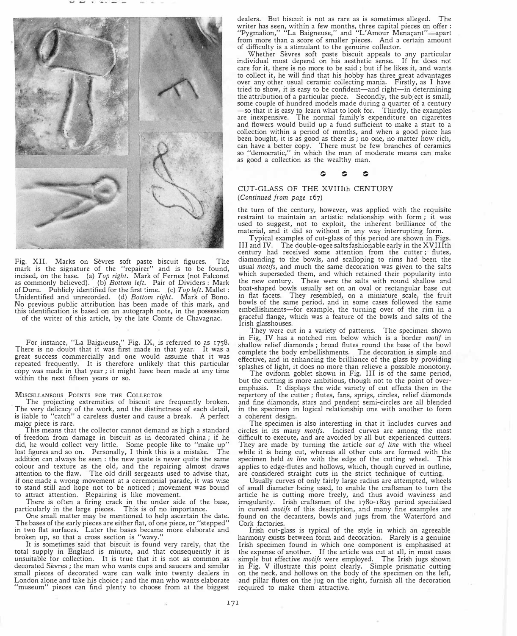

Fig. XII. Marks on Sevres soft paste biscuit figures. The mark is the signature of the "repairer" and is to be found, incised, on the base. (a) *Top right.* Mark of Fernex (not Falconet as commonly believed). (b) *Bottom left.* Pair of Dividers : Mark ofDuru. Publicly identified for the first time. (c) *Top left.* Mallet: Unidentified and unrecorded. (d) *Bottom right.* Mark of Bono. No previous public attribution has been made of this mark, and this identification is based on an autograph note, in the possession of the writer of this article, by the late Comte de Chavagnac.

For instance, "La Baigueuse," Fig. IX, is referred to as 1758. There is no doubt that it was first made in that year. It was a great success commercially and one would assume that it was repeated frequently. It is therefore unlikely that this particular copy was made in that year; it might have been made at any time within the next fifteen years or so.

## **MISCELLANEOUS POINTS FOR THE COLLECTOR**

The projecting extremities of biscuit are frequently broken. The very delicacy of the work, and the distinctness of each detail, is liable to "catch" a careless duster and cause a break. A perfect major piece is rare.

This means that the collector cannot demand as high a standard of freedom from damage in biscuit as in decorated china ; if he did, he would collect very little. Some people like to "make up" lost figures and so on. Personally, I think this is a mistake. The addition can always be seen : the new paste is never quite the same colour and texture as the old, and the repairing almost draws attention to the flaw. The old drill sergeants used to advise that, if one made a wrong movement at a ceremonial parade, it was wise to stand still and hope not to be noticed ; movement was bound to attract attention. Repairing is like movement.

There is often a firing crack in the under side of the base, particularly in the large pieces. This is of no importance.

One small matter may be mentioned to help ascertain the date. The bases of the early pieces are either flat, of one piece, or "stepped" in two flat surfaces. Later the bases became more elaborate and broken up, so that a cross section is "wavy."

It is sometimes said that biscuit is found very rarely, that the total supply in England is minute, and that consequently it is unsuitable for collection. It is true that it is not as common as decorated Sevres ; the man who wants cups and saucers and similar small pieces of decorated ware can walk into twenty dealers in London alone and take his choice ; and the man who wants elaborate "museum" pieces can find plenty to choose from at the biggest

dealers. But biscuit is not as rare as is sometimes alleged. The writer has seen, within a few months, three capital pieces on offer :<br>''Pygmalion,'' ''La Baigneuse,'' and ''L'Amour Menaçant''—apart from more than a score of smaller pieces. And a certain amount of difficulty is a stimulant to the genuine collector.

Whether Sevres soft paste biscuit appeals to any particular individual must depend on his aesthetic sense. If he does not care for it, there is no more to be said ; but if he likes it, and wants to collect it, he will find that his hobby has three great advantages over any other usual ceramic collecting mania: Firstly, as I have tried to show, it is easy to be confident-and right-in determining the attribution of a particular piece. Secondly, the subject is small, some couple of hundred models made during a quarter of a century -so that it is easy to learn what to look for. Thirdly, the examples are inexpensive. The normal family's expenditure on cigarettes and flowers would build up a fund sufficient to make a start to a collection within a period of months, and when a good piece has been bought, it is as good as there is ; no one, no matter how rich, can have a better copy. There must be few branches of ceramics so "democratic," in which the man of moderate means can make as good a collection as the wealthy man.

## $\circ$   $\circ$   $\circ$

## CUT-GLASS OF THE XVIIIth CENTURY *(Continued from page* 167)

the turn of the century, however, was applied with the requisite restraint to maintain an artistic relationship with form; it was used to suggest, not to exploit, the inherent brilliance of the material, and it did so without in any way interrupting form.

Typical examples of cut-glass of this period are shown in Figs. III and IV. The double-ogee salts fashionable early in the XVIIIth century had received some attention from the cutter ; flutes, diamonding to the bowls, and scalloping to rims had been the usual *motifs,* and much the same decoration was given to the salts which superseded them, and which retained their popularity into the new century. These were the salts with round shallow and boat-shaped bowls usually set on an oval or rectangular base cut in flat facets. They resembled, on a miniature scale, the fruit bowls of the same period, and in some cases followed the same embellishments-for example, the turning over of the rim in a graceful flange, which was a feature of the bowls and salts of the Irish glasshouses.

They were cut in a variety of patterns. The specimen shown in Fig. IV has a notched rim below which is a border *motif* in shallow relief diamonds; broad flutes round the base of the bowl complete the body embellishments. The decoration is simple and effective, and in enhancing the brilliance of the glass by providing splashes of light, it does no more than relieve a possible monotony.

The oviform goblet shown in Fig. III is of the same period, but the cutting is more ambitious, though not to the point of overemphasis. It displays the wide variety of cut effects then in the repertory of the cutter ; flutes, fans, sprigs, circles, relief diamonds and fine diamonds, stars and pendent semi-circles are all blended in the specimen in logical relationship one with another to form a coherent design.

The specimen is also interesting in that it includes curves and circles in its many *motifs.* Incised curves are among the most difficult to execute, and are avoided by all but experienced cutters. They are made by turning the article *out of line* with the wheel while it is being cut, whereas all other cuts are formed with the specimen held in line with the edge of the cutting wheel. This specimen held *in line* with the edge of the cutting wheel. applies to edge-flutes and hollows, which, though curved in outline, are considered straight cuts in the strict technique of cutting.

Usually curves of only fairly large radius are attempted, wheels of small diameter being used, to enable the craftsman to turn the article he is cutting more freely, and thus avoid waviness and irregularity. Irish craftsmen of the 1780-1825 period specialised in curved *motifs* of this description, and many fine examples are found on the decanters, bowls and jugs from the Waterford and Cork factories.

Irish cut-glass is typical of the style in which an agreeable harmony exists between form and decoration. Rarely is a genuine Irish specimen found in which one component is emphasised at the expense of another. If the article was cut at all, in most cases simple but effective *motifs* were employed. The Irish jugs shown in Fig. V illustrate this point clearly. Simple prismatic cutting on the neck, and hollows on the body of the specimen on the left, and pillar flutes on the jug on the right, furnish all the decoration required to make them attractive.